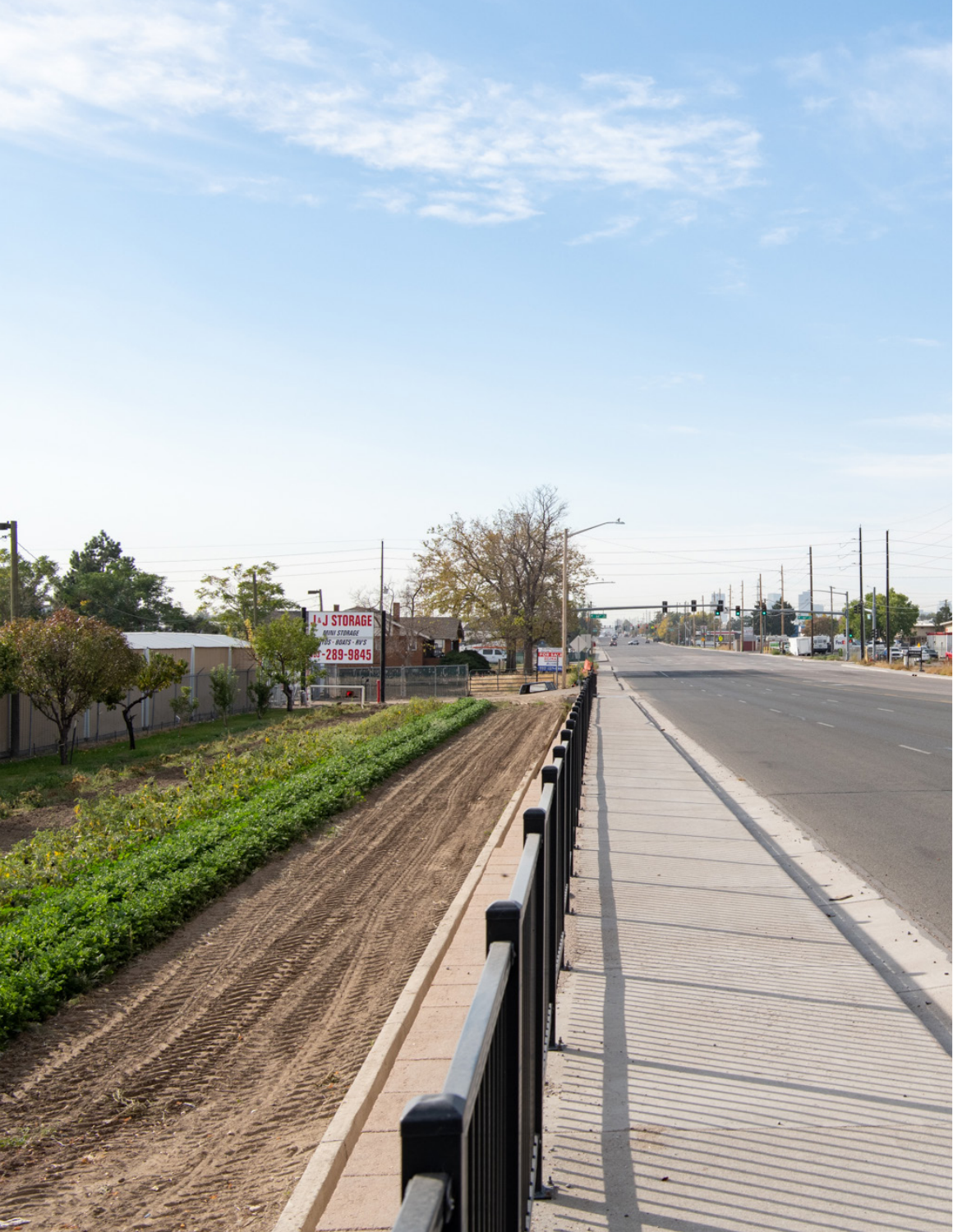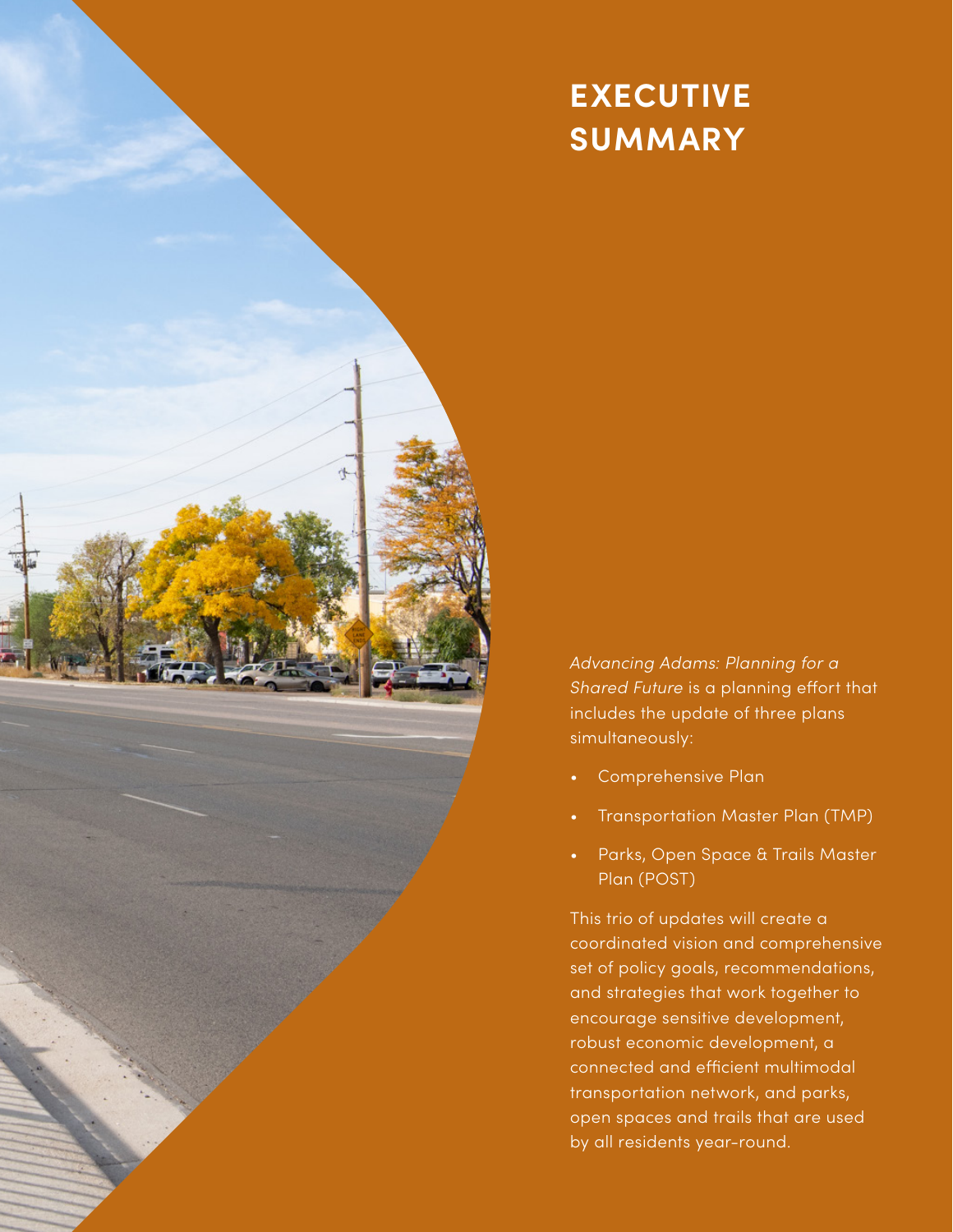# **EXECUTIVE SUMMARY**

*Advancing Adams: Planning for a Shared Future* is a planning effort that includes the update of three plans simultaneously:

- Comprehensive Plan
- Transportation Master Plan (TMP)
- Parks, Open Space & Trails Master Plan (POST)

This trio of updates will create a coordinated vision and comprehensive set of policy goals, recommendations, and strategies that work together to encourage sensitive development, robust economic development, a connected and efficient multimodal transportation network, and parks, open spaces and trails that are used by all residents year-round.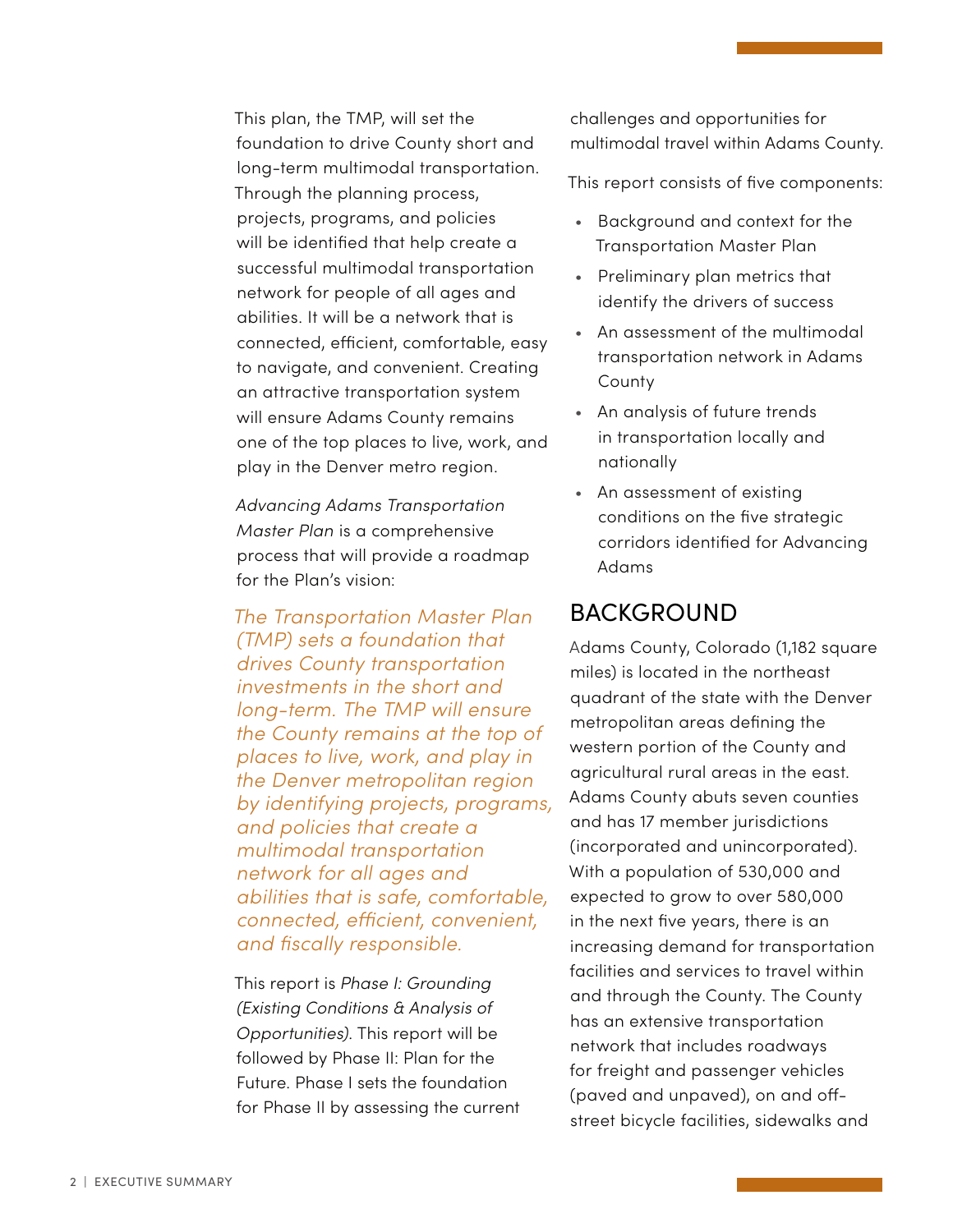This plan, the TMP, will set the foundation to drive County short and long-term multimodal transportation. Through the planning process, projects, programs, and policies will be identified that help create a successful multimodal transportation network for people of all ages and abilities. It will be a network that is connected, efficient, comfortable, easy to navigate, and convenient. Creating an attractive transportation system will ensure Adams County remains one of the top places to live, work, and play in the Denver metro region.

*Advancing Adams Transportation Master Plan* is a comprehensive process that will provide a roadmap for the Plan's vision:

*The Transportation Master Plan (TMP) sets a foundation that drives County transportation investments in the short and long-term. The TMP will ensure the County remains at the top of places to live, work, and play in the Denver metropolitan region by identifying projects, programs, and policies that create a multimodal transportation network for all ages and abilities that is safe, comfortable, connected, efficient, convenient, and fiscally responsible.* 

This report is *Phase I: Grounding (Existing Conditions & Analysis of Opportunities)*. This report will be followed by Phase II: Plan for the Future. Phase I sets the foundation for Phase II by assessing the current challenges and opportunities for multimodal travel within Adams County.

This report consists of five components:

- Background and context for the Transportation Master Plan
- Preliminary plan metrics that identify the drivers of success
- An assessment of the multimodal transportation network in Adams County
- An analysis of future trends in transportation locally and nationally
- An assessment of existing conditions on the five strategic corridors identified for Advancing Adams

## BACKGROUND

Adams County, Colorado (1,182 square miles) is located in the northeast quadrant of the state with the Denver metropolitan areas defining the western portion of the County and agricultural rural areas in the east. Adams County abuts seven counties and has 17 member jurisdictions (incorporated and unincorporated). With a population of 530,000 and expected to grow to over 580,000 in the next five years, there is an increasing demand for transportation facilities and services to travel within and through the County. The County has an extensive transportation network that includes roadways for freight and passenger vehicles (paved and unpaved), on and offstreet bicycle facilities, sidewalks and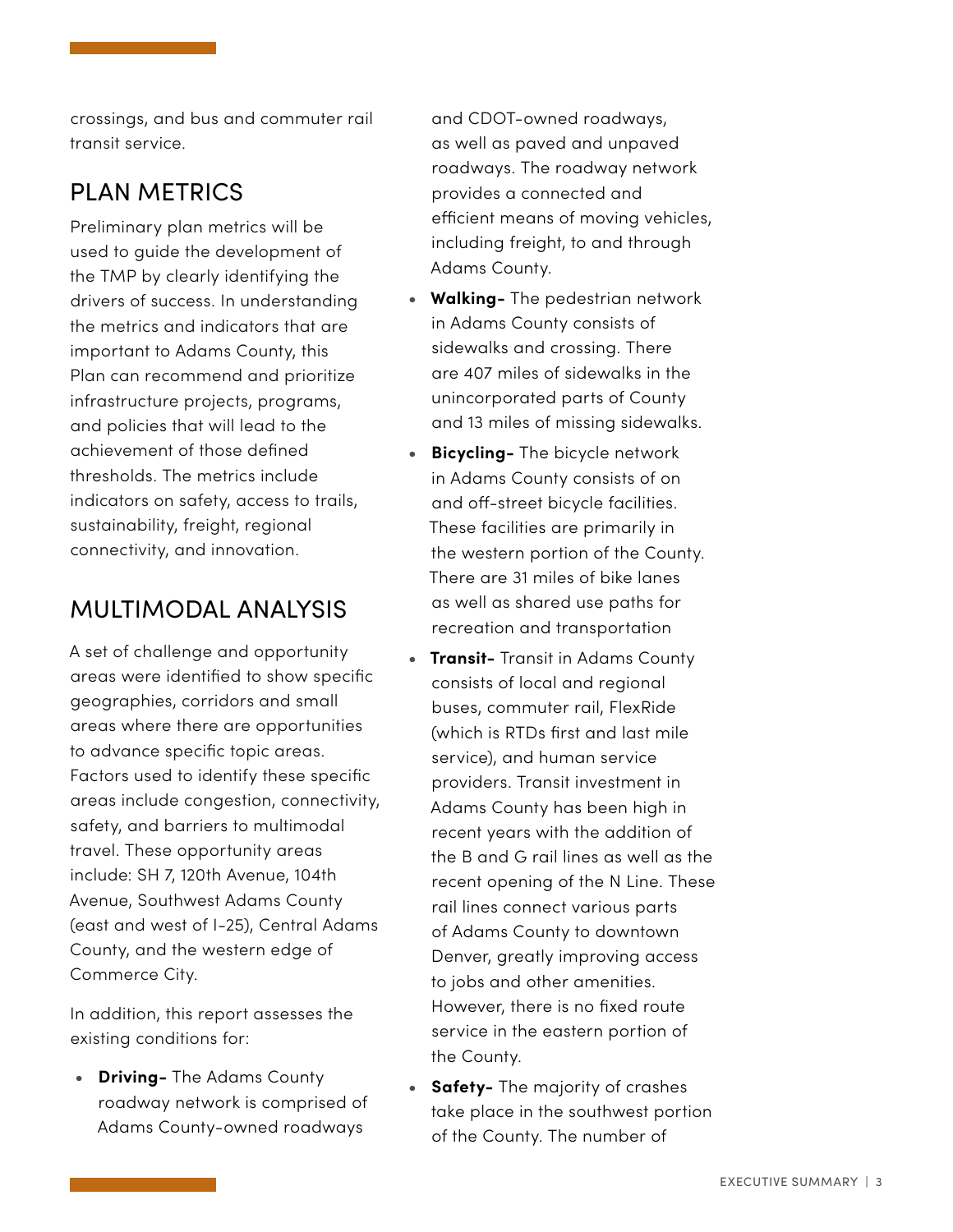crossings, and bus and commuter rail transit service.

### PLAN METRICS

Preliminary plan metrics will be used to guide the development of the TMP by clearly identifying the drivers of success. In understanding the metrics and indicators that are important to Adams County, this Plan can recommend and prioritize infrastructure projects, programs, and policies that will lead to the achievement of those defined thresholds. The metrics include indicators on safety, access to trails, sustainability, freight, regional connectivity, and innovation.

# MULTIMODAL ANALYSIS

A set of challenge and opportunity areas were identified to show specific geographies, corridors and small areas where there are opportunities to advance specific topic areas. Factors used to identify these specific areas include congestion, connectivity, safety, and barriers to multimodal travel. These opportunity areas include: SH 7, 120th Avenue, 104th Avenue, Southwest Adams County (east and west of I-25), Central Adams County, and the western edge of Commerce City.

In addition, this report assesses the existing conditions for:

**• Driving-** The Adams County roadway network is comprised of Adams County-owned roadways

and CDOT-owned roadways, as well as paved and unpaved roadways. The roadway network provides a connected and efficient means of moving vehicles, including freight, to and through Adams County.

- **• Walking-** The pedestrian network in Adams County consists of sidewalks and crossing. There are 407 miles of sidewalks in the unincorporated parts of County and 13 miles of missing sidewalks.
- **• Bicycling-** The bicycle network in Adams County consists of on and off-street bicycle facilities. These facilities are primarily in the western portion of the County. There are 31 miles of bike lanes as well as shared use paths for recreation and transportation
- **• Transit-** Transit in Adams County consists of local and regional buses, commuter rail, FlexRide (which is RTDs first and last mile service), and human service providers. Transit investment in Adams County has been high in recent years with the addition of the B and G rail lines as well as the recent opening of the N Line. These rail lines connect various parts of Adams County to downtown Denver, greatly improving access to jobs and other amenities. However, there is no fixed route service in the eastern portion of the County.
- **• Safety-** The majority of crashes take place in the southwest portion of the County. The number of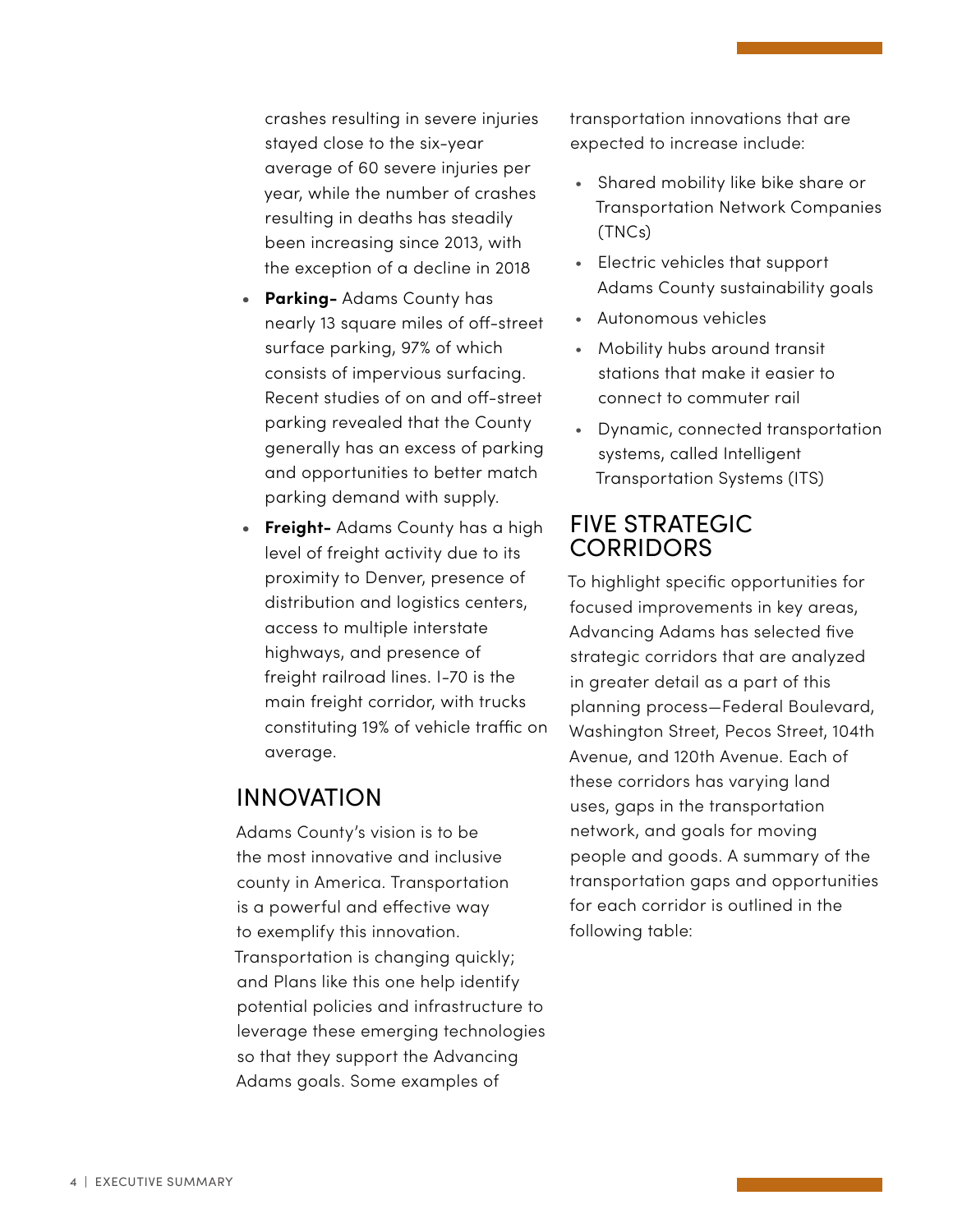crashes resulting in severe injuries stayed close to the six-year average of 60 severe injuries per year, while the number of crashes resulting in deaths has steadily been increasing since 2013, with the exception of a decline in 2018

- **• Parking-** Adams County has nearly 13 square miles of off-street surface parking, 97% of which consists of impervious surfacing. Recent studies of on and off-street parking revealed that the County generally has an excess of parking and opportunities to better match parking demand with supply.
- **• Freight-** Adams County has a high level of freight activity due to its proximity to Denver, presence of distribution and logistics centers, access to multiple interstate highways, and presence of freight railroad lines. I-70 is the main freight corridor, with trucks constituting 19% of vehicle traffic on average.

#### INNOVATION

Adams County's vision is to be the most innovative and inclusive county in America. Transportation is a powerful and effective way to exemplify this innovation. Transportation is changing quickly; and Plans like this one help identify potential policies and infrastructure to leverage these emerging technologies so that they support the Advancing Adams goals. Some examples of

transportation innovations that are expected to increase include:

- Shared mobility like bike share or Transportation Network Companies (TNCs)
- Electric vehicles that support Adams County sustainability goals
- Autonomous vehicles
- Mobility hubs around transit stations that make it easier to connect to commuter rail
- Dynamic, connected transportation systems, called Intelligent Transportation Systems (ITS)

#### FIVE STRATEGIC CORRIDORS

To highlight specific opportunities for focused improvements in key areas, Advancing Adams has selected five strategic corridors that are analyzed in greater detail as a part of this planning process—Federal Boulevard, Washington Street, Pecos Street, 104th Avenue, and 120th Avenue. Each of these corridors has varying land uses, gaps in the transportation network, and goals for moving people and goods. A summary of the transportation gaps and opportunities for each corridor is outlined in the following table: